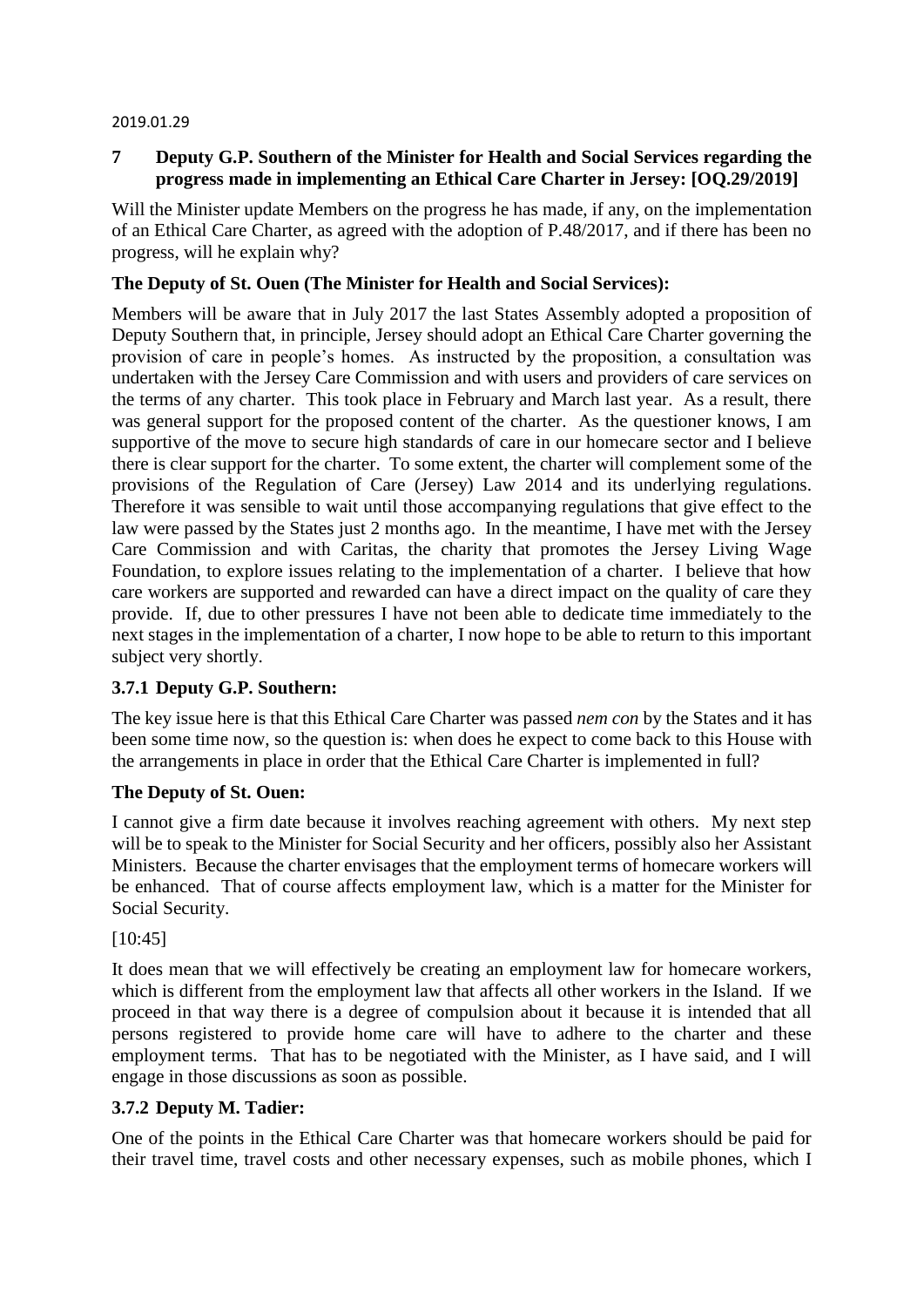#### 2019.01.29

# **7 Deputy G.P. Southern of the Minister for Health and Social Services regarding the progress made in implementing an Ethical Care Charter in Jersey: [OQ.29/2019]**

Will the Minister update Members on the progress he has made, if any, on the implementation of an Ethical Care Charter, as agreed with the adoption of P.48/2017, and if there has been no progress, will he explain why?

### **The Deputy of St. Ouen (The Minister for Health and Social Services):**

Members will be aware that in July 2017 the last States Assembly adopted a proposition of Deputy Southern that, in principle, Jersey should adopt an Ethical Care Charter governing the provision of care in people's homes. As instructed by the proposition, a consultation was undertaken with the Jersey Care Commission and with users and providers of care services on the terms of any charter. This took place in February and March last year. As a result, there was general support for the proposed content of the charter. As the questioner knows, I am supportive of the move to secure high standards of care in our homecare sector and I believe there is clear support for the charter. To some extent, the charter will complement some of the provisions of the Regulation of Care (Jersey) Law 2014 and its underlying regulations. Therefore it was sensible to wait until those accompanying regulations that give effect to the law were passed by the States just 2 months ago. In the meantime, I have met with the Jersey Care Commission and with Caritas, the charity that promotes the Jersey Living Wage Foundation, to explore issues relating to the implementation of a charter. I believe that how care workers are supported and rewarded can have a direct impact on the quality of care they provide. If, due to other pressures I have not been able to dedicate time immediately to the next stages in the implementation of a charter, I now hope to be able to return to this important subject very shortly.

# **3.7.1 Deputy G.P. Southern:**

The key issue here is that this Ethical Care Charter was passed *nem con* by the States and it has been some time now, so the question is: when does he expect to come back to this House with the arrangements in place in order that the Ethical Care Charter is implemented in full?

# **The Deputy of St. Ouen:**

I cannot give a firm date because it involves reaching agreement with others. My next step will be to speak to the Minister for Social Security and her officers, possibly also her Assistant Ministers. Because the charter envisages that the employment terms of homecare workers will be enhanced. That of course affects employment law, which is a matter for the Minister for Social Security.

[10:45]

It does mean that we will effectively be creating an employment law for homecare workers, which is different from the employment law that affects all other workers in the Island. If we proceed in that way there is a degree of compulsion about it because it is intended that all persons registered to provide home care will have to adhere to the charter and these employment terms. That has to be negotiated with the Minister, as I have said, and I will engage in those discussions as soon as possible.

# **3.7.2 Deputy M. Tadier:**

One of the points in the Ethical Care Charter was that homecare workers should be paid for their travel time, travel costs and other necessary expenses, such as mobile phones, which I